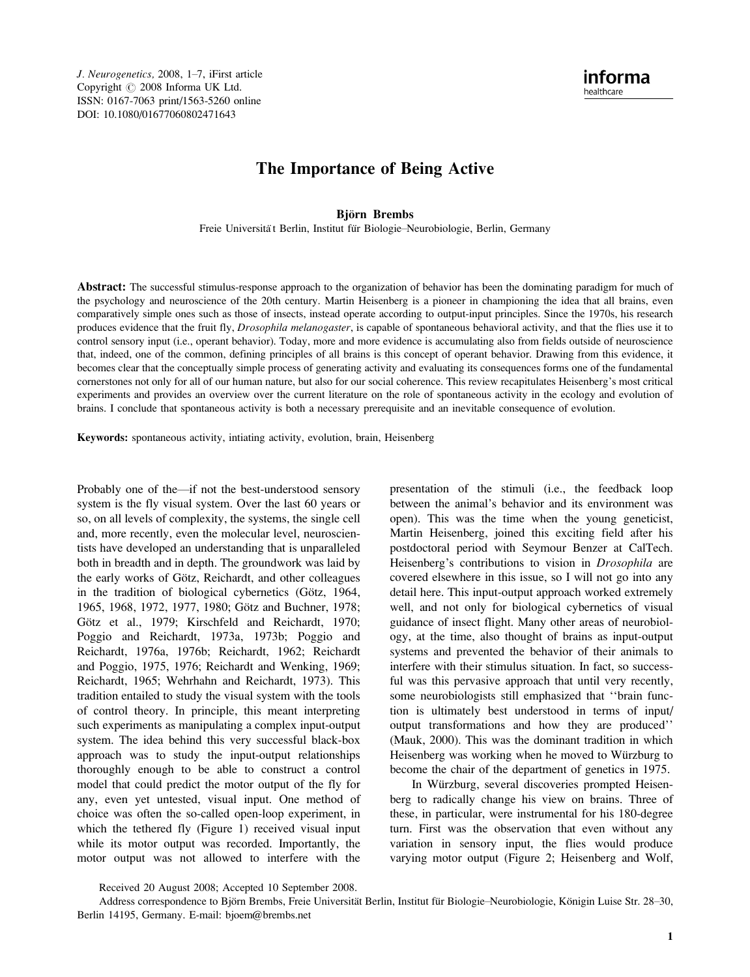J. Neurogenetics, 2008, 1-7, iFirst article Copyright © 2008 Informa UK Ltd. ISSN: 0167-7063 print/1563-5260 online DOI: 10.1080/01677060802471643

informa healthcare

# The Importance of Being Active

Björn Brembs

Freie Universität Berlin, Institut für Biologie-Neurobiologie, Berlin, Germany

Abstract: The successful stimulus-response approach to the organization of behavior has been the dominating paradigm for much of the psychology and neuroscience of the 20th century. Martin Heisenberg is a pioneer in championing the idea that all brains, even comparatively simple ones such as those of insects, instead operate according to output-input principles. Since the 1970s, his research produces evidence that the fruit fly, Drosophila melanogaster, is capable of spontaneous behavioral activity, and that the flies use it to control sensory input (i.e., operant behavior). Today, more and more evidence is accumulating also from fields outside of neuroscience that, indeed, one of the common, defining principles of all brains is this concept of operant behavior. Drawing from this evidence, it becomes clear that the conceptually simple process of generating activity and evaluating its consequences forms one of the fundamental cornerstones not only for all of our human nature, but also for our social coherence. This review recapitulates Heisenberg's most critical experiments and provides an overview over the current literature on the role of spontaneous activity in the ecology and evolution of brains. I conclude that spontaneous activity is both a necessary prerequisite and an inevitable consequence of evolution.

Keywords: spontaneous activity, intiating activity, evolution, brain, Heisenberg

Probably one of the—if not the best-understood sensory system is the fly visual system. Over the last 60 years or so, on all levels of complexity, the systems, the single cell and, more recently, even the molecular level, neuroscientists have developed an understanding that is unparalleled both in breadth and in depth. The groundwork was laid by the early works of Götz, Reichardt, and other colleagues in the tradition of biological cybernetics (Götz, 1964, 1965, 1968, 1972, 1977, 1980; Götz and Buchner, 1978; Götz et al., 1979; Kirschfeld and Reichardt, 1970; Poggio and Reichardt, 1973a, 1973b; Poggio and Reichardt, 1976a, 1976b; Reichardt, 1962; Reichardt and Poggio, 1975, 1976; Reichardt and Wenking, 1969; Reichardt, 1965; Wehrhahn and Reichardt, 1973). This tradition entailed to study the visual system with the tools of control theory. In principle, this meant interpreting such experiments as manipulating a complex input-output system. The idea behind this very successful black-box approach was to study the input-output relationships thoroughly enough to be able to construct a control model that could predict the motor output of the fly for any, even yet untested, visual input. One method of choice was often the so-called open-loop experiment, in which the tethered fly (Figure 1) received visual input while its motor output was recorded. Importantly, the motor output was not allowed to interfere with the presentation of the stimuli (i.e., the feedback loop between the animal's behavior and its environment was open). This was the time when the young geneticist, Martin Heisenberg, joined this exciting field after his postdoctoral period with Seymour Benzer at CalTech. Heisenberg's contributions to vision in Drosophila are covered elsewhere in this issue, so I will not go into any detail here. This input-output approach worked extremely well, and not only for biological cybernetics of visual guidance of insect flight. Many other areas of neurobiology, at the time, also thought of brains as input-output systems and prevented the behavior of their animals to interfere with their stimulus situation. In fact, so successful was this pervasive approach that until very recently, some neurobiologists still emphasized that ''brain function is ultimately best understood in terms of input/ output transformations and how they are produced'' (Mauk, 2000). This was the dominant tradition in which Heisenberg was working when he moved to Würzburg to become the chair of the department of genetics in 1975.

In Würzburg, several discoveries prompted Heisenberg to radically change his view on brains. Three of these, in particular, were instrumental for his 180-degree turn. First was the observation that even without any variation in sensory input, the flies would produce varying motor output (Figure 2; Heisenberg and Wolf,

Received 20 August 2008; Accepted 10 September 2008.

Address correspondence to Björn Brembs, Freie Universität Berlin, Institut für Biologie–Neurobiologie, Königin Luise Str. 28–30, Berlin 14195, Germany. E-mail: bjoem@brembs.net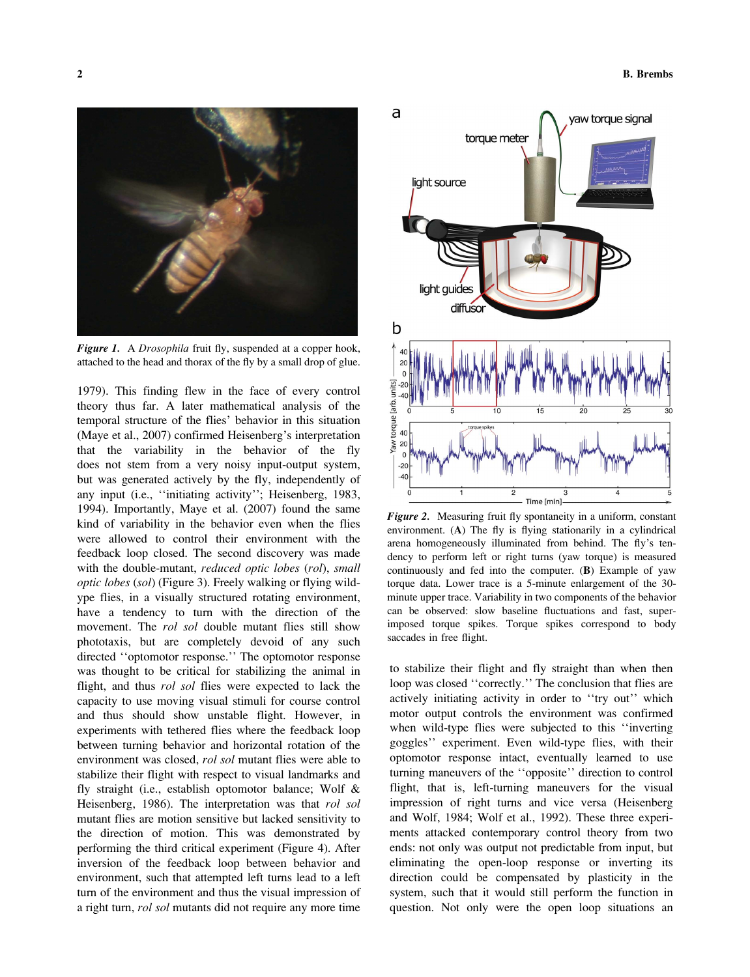

Figure 1. A Drosophila fruit fly, suspended at a copper hook, attached to the head and thorax of the fly by a small drop of glue.

1979). This finding flew in the face of every control theory thus far. A later mathematical analysis of the temporal structure of the flies' behavior in this situation (Maye et al., 2007) confirmed Heisenberg's interpretation that the variability in the behavior of the fly does not stem from a very noisy input-output system, but was generated actively by the fly, independently of any input (i.e., ''initiating activity''; Heisenberg, 1983, 1994). Importantly, Maye et al. (2007) found the same kind of variability in the behavior even when the flies were allowed to control their environment with the feedback loop closed. The second discovery was made with the double-mutant, reduced optic lobes (rol), small optic lobes (sol) (Figure 3). Freely walking or flying wildype flies, in a visually structured rotating environment, have a tendency to turn with the direction of the movement. The *rol sol* double mutant flies still show phototaxis, but are completely devoid of any such directed ''optomotor response.'' The optomotor response was thought to be critical for stabilizing the animal in flight, and thus *rol sol* flies were expected to lack the capacity to use moving visual stimuli for course control and thus should show unstable flight. However, in experiments with tethered flies where the feedback loop between turning behavior and horizontal rotation of the environment was closed, rol sol mutant flies were able to stabilize their flight with respect to visual landmarks and fly straight (i.e., establish optomotor balance; Wolf & Heisenberg, 1986). The interpretation was that rol sol mutant flies are motion sensitive but lacked sensitivity to the direction of motion. This was demonstrated by performing the third critical experiment (Figure 4). After inversion of the feedback loop between behavior and environment, such that attempted left turns lead to a left turn of the environment and thus the visual impression of a right turn, rol sol mutants did not require any more time



Figure 2. Measuring fruit fly spontaneity in a uniform, constant environment. (A) The fly is flying stationarily in a cylindrical arena homogeneously illuminated from behind. The fly's tendency to perform left or right turns (yaw torque) is measured continuously and fed into the computer. (B) Example of yaw torque data. Lower trace is a 5-minute enlargement of the 30 minute upper trace. Variability in two components of the behavior can be observed: slow baseline fluctuations and fast, superimposed torque spikes. Torque spikes correspond to body saccades in free flight.

to stabilize their flight and fly straight than when then loop was closed ''correctly.'' The conclusion that flies are actively initiating activity in order to ''try out'' which motor output controls the environment was confirmed when wild-type flies were subjected to this ''inverting goggles'' experiment. Even wild-type flies, with their optomotor response intact, eventually learned to use turning maneuvers of the ''opposite'' direction to control flight, that is, left-turning maneuvers for the visual impression of right turns and vice versa (Heisenberg and Wolf, 1984; Wolf et al., 1992). These three experiments attacked contemporary control theory from two ends: not only was output not predictable from input, but eliminating the open-loop response or inverting its direction could be compensated by plasticity in the system, such that it would still perform the function in question. Not only were the open loop situations an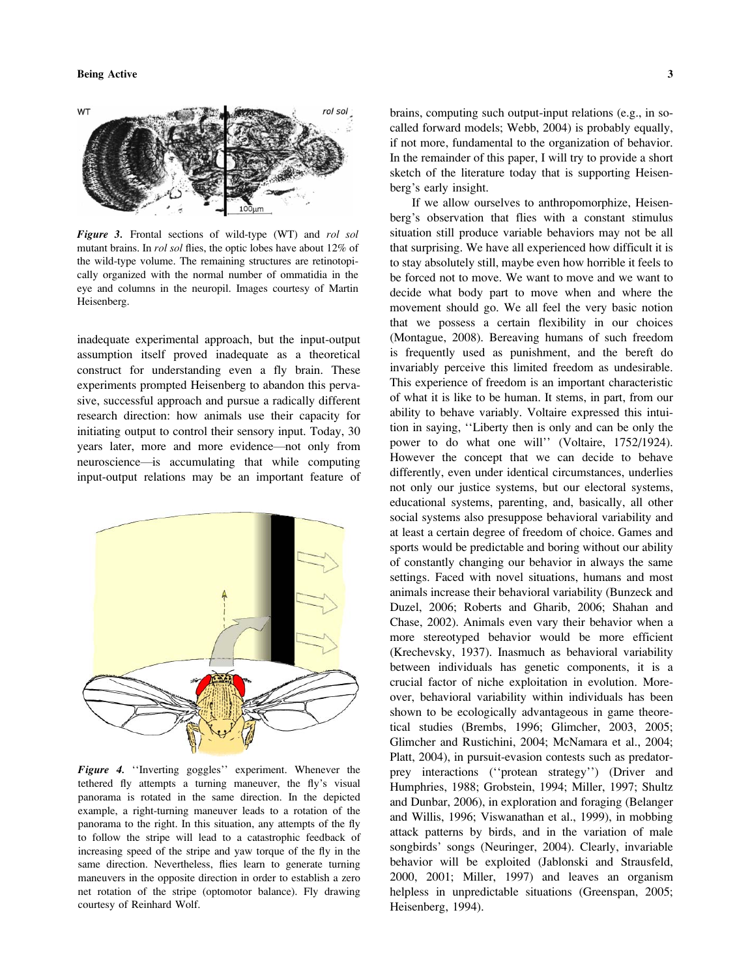

Figure 3. Frontal sections of wild-type (WT) and rol sol mutant brains. In rol sol flies, the optic lobes have about 12% of the wild-type volume. The remaining structures are retinotopically organized with the normal number of ommatidia in the eye and columns in the neuropil. Images courtesy of Martin Heisenberg.

inadequate experimental approach, but the input-output assumption itself proved inadequate as a theoretical construct for understanding even a fly brain. These experiments prompted Heisenberg to abandon this pervasive, successful approach and pursue a radically different research direction: how animals use their capacity for initiating output to control their sensory input. Today, 30 years later, more and more evidence—not only from neuroscience\*is accumulating that while computing input-output relations may be an important feature of



Figure 4. "Inverting goggles" experiment. Whenever the tethered fly attempts a turning maneuver, the fly's visual panorama is rotated in the same direction. In the depicted example, a right-turning maneuver leads to a rotation of the panorama to the right. In this situation, any attempts of the fly to follow the stripe will lead to a catastrophic feedback of increasing speed of the stripe and yaw torque of the fly in the same direction. Nevertheless, flies learn to generate turning maneuvers in the opposite direction in order to establish a zero net rotation of the stripe (optomotor balance). Fly drawing courtesy of Reinhard Wolf.

brains, computing such output-input relations (e.g., in socalled forward models; Webb, 2004) is probably equally, if not more, fundamental to the organization of behavior. In the remainder of this paper, I will try to provide a short sketch of the literature today that is supporting Heisenberg's early insight.

If we allow ourselves to anthropomorphize, Heisenberg's observation that flies with a constant stimulus situation still produce variable behaviors may not be all that surprising. We have all experienced how difficult it is to stay absolutely still, maybe even how horrible it feels to be forced not to move. We want to move and we want to decide what body part to move when and where the movement should go. We all feel the very basic notion that we possess a certain flexibility in our choices (Montague, 2008). Bereaving humans of such freedom is frequently used as punishment, and the bereft do invariably perceive this limited freedom as undesirable. This experience of freedom is an important characteristic of what it is like to be human. It stems, in part, from our ability to behave variably. Voltaire expressed this intuition in saying, ''Liberty then is only and can be only the power to do what one will'' (Voltaire, 1752/1924). However the concept that we can decide to behave differently, even under identical circumstances, underlies not only our justice systems, but our electoral systems, educational systems, parenting, and, basically, all other social systems also presuppose behavioral variability and at least a certain degree of freedom of choice. Games and sports would be predictable and boring without our ability of constantly changing our behavior in always the same settings. Faced with novel situations, humans and most animals increase their behavioral variability (Bunzeck and Duzel, 2006; Roberts and Gharib, 2006; Shahan and Chase, 2002). Animals even vary their behavior when a more stereotyped behavior would be more efficient (Krechevsky, 1937). Inasmuch as behavioral variability between individuals has genetic components, it is a crucial factor of niche exploitation in evolution. Moreover, behavioral variability within individuals has been shown to be ecologically advantageous in game theoretical studies (Brembs, 1996; Glimcher, 2003, 2005; Glimcher and Rustichini, 2004; McNamara et al., 2004; Platt, 2004), in pursuit-evasion contests such as predatorprey interactions (''protean strategy'') (Driver and Humphries, 1988; Grobstein, 1994; Miller, 1997; Shultz and Dunbar, 2006), in exploration and foraging (Belanger and Willis, 1996; Viswanathan et al., 1999), in mobbing attack patterns by birds, and in the variation of male songbirds' songs (Neuringer, 2004). Clearly, invariable behavior will be exploited (Jablonski and Strausfeld, 2000, 2001; Miller, 1997) and leaves an organism helpless in unpredictable situations (Greenspan, 2005; Heisenberg, 1994).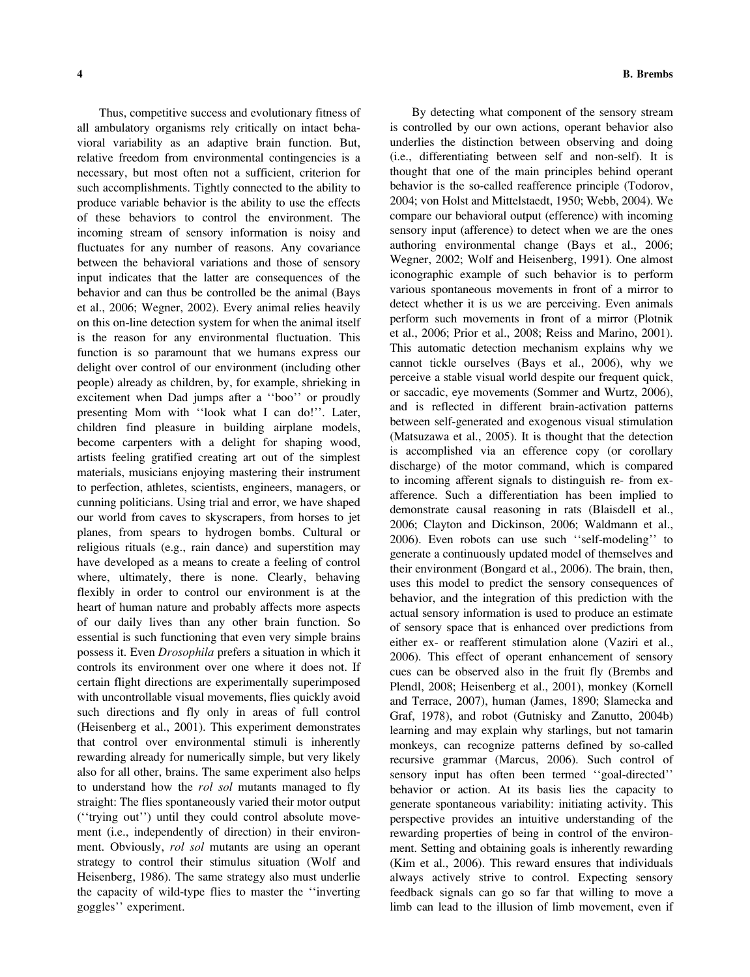Thus, competitive success and evolutionary fitness of all ambulatory organisms rely critically on intact behavioral variability as an adaptive brain function. But, relative freedom from environmental contingencies is a necessary, but most often not a sufficient, criterion for such accomplishments. Tightly connected to the ability to produce variable behavior is the ability to use the effects of these behaviors to control the environment. The incoming stream of sensory information is noisy and fluctuates for any number of reasons. Any covariance between the behavioral variations and those of sensory input indicates that the latter are consequences of the behavior and can thus be controlled be the animal (Bays et al., 2006; Wegner, 2002). Every animal relies heavily on this on-line detection system for when the animal itself is the reason for any environmental fluctuation. This function is so paramount that we humans express our delight over control of our environment (including other people) already as children, by, for example, shrieking in excitement when Dad jumps after a ''boo'' or proudly presenting Mom with ''look what I can do!''. Later, children find pleasure in building airplane models, become carpenters with a delight for shaping wood, artists feeling gratified creating art out of the simplest materials, musicians enjoying mastering their instrument to perfection, athletes, scientists, engineers, managers, or cunning politicians. Using trial and error, we have shaped our world from caves to skyscrapers, from horses to jet planes, from spears to hydrogen bombs. Cultural or religious rituals (e.g., rain dance) and superstition may have developed as a means to create a feeling of control where, ultimately, there is none. Clearly, behaving flexibly in order to control our environment is at the heart of human nature and probably affects more aspects of our daily lives than any other brain function. So essential is such functioning that even very simple brains possess it. Even Drosophila prefers a situation in which it controls its environment over one where it does not. If certain flight directions are experimentally superimposed with uncontrollable visual movements, flies quickly avoid such directions and fly only in areas of full control (Heisenberg et al., 2001). This experiment demonstrates that control over environmental stimuli is inherently rewarding already for numerically simple, but very likely also for all other, brains. The same experiment also helps to understand how the *rol sol* mutants managed to fly straight: The flies spontaneously varied their motor output (''trying out'') until they could control absolute movement (i.e., independently of direction) in their environment. Obviously, rol sol mutants are using an operant strategy to control their stimulus situation (Wolf and Heisenberg, 1986). The same strategy also must underlie the capacity of wild-type flies to master the ''inverting goggles'' experiment.

By detecting what component of the sensory stream is controlled by our own actions, operant behavior also underlies the distinction between observing and doing (i.e., differentiating between self and non-self). It is thought that one of the main principles behind operant behavior is the so-called reafference principle (Todorov, 2004; von Holst and Mittelstaedt, 1950; Webb, 2004). We compare our behavioral output (efference) with incoming sensory input (afference) to detect when we are the ones authoring environmental change (Bays et al., 2006; Wegner, 2002; Wolf and Heisenberg, 1991). One almost iconographic example of such behavior is to perform various spontaneous movements in front of a mirror to detect whether it is us we are perceiving. Even animals perform such movements in front of a mirror (Plotnik et al., 2006; Prior et al., 2008; Reiss and Marino, 2001). This automatic detection mechanism explains why we cannot tickle ourselves (Bays et al., 2006), why we perceive a stable visual world despite our frequent quick, or saccadic, eye movements (Sommer and Wurtz, 2006), and is reflected in different brain-activation patterns between self-generated and exogenous visual stimulation (Matsuzawa et al., 2005). It is thought that the detection is accomplished via an efference copy (or corollary discharge) of the motor command, which is compared to incoming afferent signals to distinguish re- from exafference. Such a differentiation has been implied to demonstrate causal reasoning in rats (Blaisdell et al., 2006; Clayton and Dickinson, 2006; Waldmann et al., 2006). Even robots can use such ''self-modeling'' to generate a continuously updated model of themselves and their environment (Bongard et al., 2006). The brain, then, uses this model to predict the sensory consequences of behavior, and the integration of this prediction with the actual sensory information is used to produce an estimate of sensory space that is enhanced over predictions from either ex- or reafferent stimulation alone (Vaziri et al., 2006). This effect of operant enhancement of sensory cues can be observed also in the fruit fly (Brembs and Plendl, 2008; Heisenberg et al., 2001), monkey (Kornell and Terrace, 2007), human (James, 1890; Slamecka and Graf, 1978), and robot (Gutnisky and Zanutto, 2004b) learning and may explain why starlings, but not tamarin monkeys, can recognize patterns defined by so-called recursive grammar (Marcus, 2006). Such control of sensory input has often been termed ''goal-directed'' behavior or action. At its basis lies the capacity to generate spontaneous variability: initiating activity. This perspective provides an intuitive understanding of the rewarding properties of being in control of the environment. Setting and obtaining goals is inherently rewarding (Kim et al., 2006). This reward ensures that individuals always actively strive to control. Expecting sensory feedback signals can go so far that willing to move a limb can lead to the illusion of limb movement, even if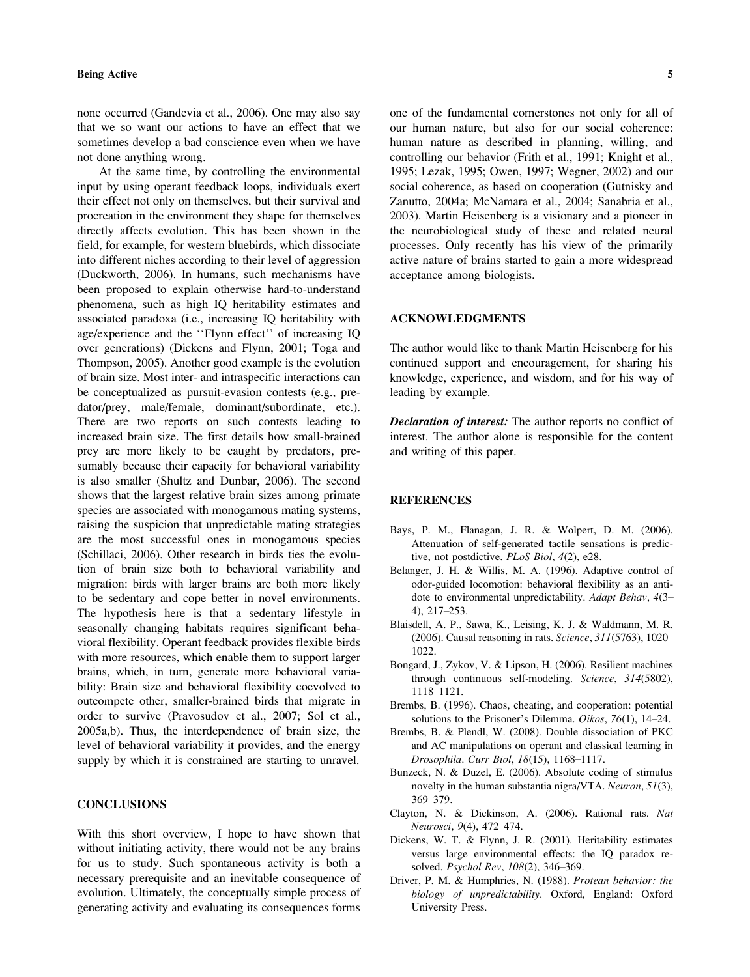#### Being Active **5** the set of the set of the set of the set of the set of the set of the set of the set of the set of the set of the set of the set of the set of the set of the set of the set of the set of the set of the set

none occurred (Gandevia et al., 2006). One may also say that we so want our actions to have an effect that we sometimes develop a bad conscience even when we have not done anything wrong.

At the same time, by controlling the environmental input by using operant feedback loops, individuals exert their effect not only on themselves, but their survival and procreation in the environment they shape for themselves directly affects evolution. This has been shown in the field, for example, for western bluebirds, which dissociate into different niches according to their level of aggression (Duckworth, 2006). In humans, such mechanisms have been proposed to explain otherwise hard-to-understand phenomena, such as high IQ heritability estimates and associated paradoxa (i.e., increasing IQ heritability with age/experience and the ''Flynn effect'' of increasing IQ over generations) (Dickens and Flynn, 2001; Toga and Thompson, 2005). Another good example is the evolution of brain size. Most inter- and intraspecific interactions can be conceptualized as pursuit-evasion contests (e.g., predator/prey, male/female, dominant/subordinate, etc.). There are two reports on such contests leading to increased brain size. The first details how small-brained prey are more likely to be caught by predators, presumably because their capacity for behavioral variability is also smaller (Shultz and Dunbar, 2006). The second shows that the largest relative brain sizes among primate species are associated with monogamous mating systems, raising the suspicion that unpredictable mating strategies are the most successful ones in monogamous species (Schillaci, 2006). Other research in birds ties the evolution of brain size both to behavioral variability and migration: birds with larger brains are both more likely to be sedentary and cope better in novel environments. The hypothesis here is that a sedentary lifestyle in seasonally changing habitats requires significant behavioral flexibility. Operant feedback provides flexible birds with more resources, which enable them to support larger brains, which, in turn, generate more behavioral variability: Brain size and behavioral flexibility coevolved to outcompete other, smaller-brained birds that migrate in order to survive (Pravosudov et al., 2007; Sol et al., 2005a,b). Thus, the interdependence of brain size, the level of behavioral variability it provides, and the energy supply by which it is constrained are starting to unravel.

## **CONCLUSIONS**

With this short overview, I hope to have shown that without initiating activity, there would not be any brains for us to study. Such spontaneous activity is both a necessary prerequisite and an inevitable consequence of evolution. Ultimately, the conceptually simple process of generating activity and evaluating its consequences forms one of the fundamental cornerstones not only for all of our human nature, but also for our social coherence: human nature as described in planning, willing, and controlling our behavior (Frith et al., 1991; Knight et al., 1995; Lezak, 1995; Owen, 1997; Wegner, 2002) and our social coherence, as based on cooperation (Gutnisky and Zanutto, 2004a; McNamara et al., 2004; Sanabria et al., 2003). Martin Heisenberg is a visionary and a pioneer in the neurobiological study of these and related neural processes. Only recently has his view of the primarily active nature of brains started to gain a more widespread acceptance among biologists.

#### ACKNOWLEDGMENTS

The author would like to thank Martin Heisenberg for his continued support and encouragement, for sharing his knowledge, experience, and wisdom, and for his way of leading by example.

Declaration of interest: The author reports no conflict of interest. The author alone is responsible for the content and writing of this paper.

## **REFERENCES**

- Bays, P. M., Flanagan, J. R. & Wolpert, D. M. (2006). Attenuation of self-generated tactile sensations is predictive, not postdictive. PLoS Biol, 4(2), e28.
- Belanger, J. H. & Willis, M. A. (1996). Adaptive control of odor-guided locomotion: behavioral flexibility as an antidote to environmental unpredictability. Adapt Behav, 4(3– 4),  $217 - 253$ .
- Blaisdell, A. P., Sawa, K., Leising, K. J. & Waldmann, M. R. (2006). Causal reasoning in rats. Science, 311(5763), 1020 1022.
- Bongard, J., Zykov, V. & Lipson, H. (2006). Resilient machines through continuous self-modeling. Science, 314(5802), 1118-1121.
- Brembs, B. (1996). Chaos, cheating, and cooperation: potential solutions to the Prisoner's Dilemma.  $Oikos$ , 76(1), 14–24.
- Brembs, B. & Plendl, W. (2008). Double dissociation of PKC and AC manipulations on operant and classical learning in Drosophila. Curr Biol, 18(15), 1168-1117.
- Bunzeck, N. & Duzel, E. (2006). Absolute coding of stimulus novelty in the human substantia nigra/VTA. Neuron, 51(3), 369-379.
- Clayton, N. & Dickinson, A. (2006). Rational rats. Nat Neurosci, 9(4), 472-474.
- Dickens, W. T. & Flynn, J. R. (2001). Heritability estimates versus large environmental effects: the IQ paradox resolved. Psychol Rev, 108(2), 346-369.
- Driver, P. M. & Humphries, N. (1988). Protean behavior: the biology of unpredictability. Oxford, England: Oxford University Press.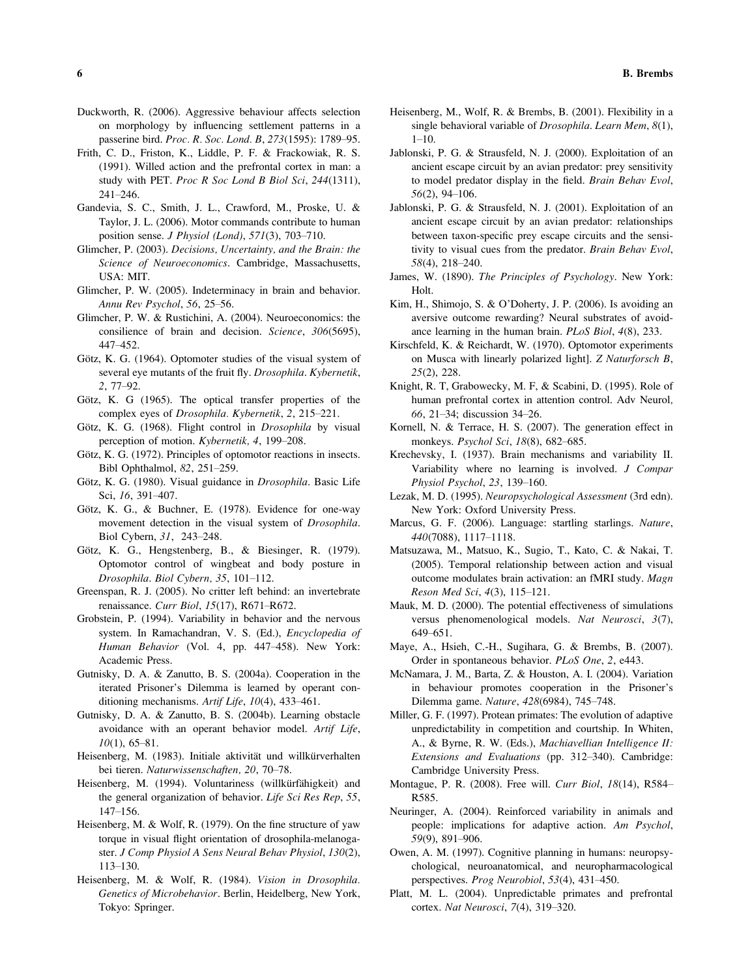- Duckworth, R. (2006). Aggressive behaviour affects selection on morphology by influencing settlement patterns in a passerine bird. Proc. R. Soc. Lond. B, 273(1595): 1789-95.
- Frith, C. D., Friston, K., Liddle, P. F. & Frackowiak, R. S. (1991). Willed action and the prefrontal cortex in man: a study with PET. Proc R Soc Lond B Biol Sci, 244(1311), 241246.
- Gandevia, S. C., Smith, J. L., Crawford, M., Proske, U. & Taylor, J. L. (2006). Motor commands contribute to human position sense. J Physiol (Lond),  $571(3)$ ,  $703-710$ .
- Glimcher, P. (2003). Decisions, Uncertainty, and the Brain: the Science of Neuroeconomics. Cambridge, Massachusetts, USA: MIT.
- Glimcher, P. W. (2005). Indeterminacy in brain and behavior. Annu Rev Psychol, 56, 25-56.
- Glimcher, P. W. & Rustichini, A. (2004). Neuroeconomics: the consilience of brain and decision. Science, 306(5695), 447-452.
- Götz, K. G. (1964). Optomoter studies of the visual system of several eye mutants of the fruit fly. Drosophila. Kybernetik, 2, 77-92.
- Götz, K. G (1965). The optical transfer properties of the complex eyes of *Drosophila. Kybernetik*, 2, 215–221.
- Götz, K. G. (1968). Flight control in Drosophila by visual perception of motion. Kybernetik, 4, 199-208.
- Götz, K. G. (1972). Principles of optomotor reactions in insects. Bibl Ophthalmol, 82, 251-259.
- Götz, K. G. (1980). Visual guidance in *Drosophila*. Basic Life Sci, 16, 391-407.
- Götz, K. G., & Buchner, E. (1978). Evidence for one-way movement detection in the visual system of Drosophila. Biol Cybern, 31, 243-248.
- Götz, K. G., Hengstenberg, B., & Biesinger, R. (1979). Optomotor control of wingbeat and body posture in  $Drosophila. Biol Cybern, 35, 101–112.$
- Greenspan, R. J. (2005). No critter left behind: an invertebrate renaissance. Curr Biol, 15(17), R671-R672.
- Grobstein, P. (1994). Variability in behavior and the nervous system. In Ramachandran, V. S. (Ed.), Encyclopedia of Human Behavior (Vol. 4, pp. 447–458). New York: Academic Press.
- Gutnisky, D. A. & Zanutto, B. S. (2004a). Cooperation in the iterated Prisoner's Dilemma is learned by operant conditioning mechanisms. Artif Life,  $10(4)$ , 433-461.
- Gutnisky, D. A. & Zanutto, B. S. (2004b). Learning obstacle avoidance with an operant behavior model. Artif Life,  $10(1)$ , 65-81.
- Heisenberg, M. (1983). Initiale aktivität und willkürverhalten bei tieren. Naturwissenschaften, 20, 70-78.
- Heisenberg, M. (1994). Voluntariness (willkürfähigkeit) and the general organization of behavior. Life Sci Res Rep, 55,  $147 - 156$ .
- Heisenberg, M. & Wolf, R. (1979). On the fine structure of yaw torque in visual flight orientation of drosophila-melanogaster. J Comp Physiol A Sens Neural Behav Physiol, 130(2), 113-130.
- Heisenberg, M. & Wolf, R. (1984). Vision in Drosophila. Genetics of Microbehavior. Berlin, Heidelberg, New York, Tokyo: Springer.
- Heisenberg, M., Wolf, R. & Brembs, B. (2001). Flexibility in a single behavioral variable of *Drosophila*. Learn Mem, 8(1),  $1 - 10$ .
- Jablonski, P. G. & Strausfeld, N. J. (2000). Exploitation of an ancient escape circuit by an avian predator: prey sensitivity to model predator display in the field. Brain Behav Evol,  $56(2)$ , 94-106.
- Jablonski, P. G. & Strausfeld, N. J. (2001). Exploitation of an ancient escape circuit by an avian predator: relationships between taxon-specific prey escape circuits and the sensitivity to visual cues from the predator. Brain Behav Evol, 58(4), 218-240.
- James, W. (1890). The Principles of Psychology. New York: Holt.
- Kim, H., Shimojo, S. & O'Doherty, J. P. (2006). Is avoiding an aversive outcome rewarding? Neural substrates of avoidance learning in the human brain. PLoS Biol, 4(8), 233.
- Kirschfeld, K. & Reichardt, W. (1970). Optomotor experiments on Musca with linearly polarized light]. Z Naturforsch B, 25(2), 228.
- Knight, R. T, Grabowecky, M. F, & Scabini, D. (1995). Role of human prefrontal cortex in attention control. Adv Neurol, 66, 21-34; discussion 34-26.
- Kornell, N. & Terrace, H. S. (2007). The generation effect in monkeys. Psychol Sci, 18(8), 682-685.
- Krechevsky, I. (1937). Brain mechanisms and variability II. Variability where no learning is involved. J Compar Physiol Psychol,  $23$ ,  $139-160$ .
- Lezak, M. D. (1995). Neuropsychological Assessment (3rd edn). New York: Oxford University Press.
- Marcus, G. F. (2006). Language: startling starlings. Nature, 440(7088), 1117–1118.
- Matsuzawa, M., Matsuo, K., Sugio, T., Kato, C. & Nakai, T. (2005). Temporal relationship between action and visual outcome modulates brain activation: an fMRI study. Magn Reson Med Sci, 4(3), 115-121.
- Mauk, M. D. (2000). The potential effectiveness of simulations versus phenomenological models. Nat Neurosci, 3(7), 649-651.
- Maye, A., Hsieh, C.-H., Sugihara, G. & Brembs, B. (2007). Order in spontaneous behavior. PLoS One, 2, e443.
- McNamara, J. M., Barta, Z. & Houston, A. I. (2004). Variation in behaviour promotes cooperation in the Prisoner's Dilemma game. Nature, 428(6984), 745-748.
- Miller, G. F. (1997). Protean primates: The evolution of adaptive unpredictability in competition and courtship. In Whiten, A., & Byrne, R. W. (Eds.), Machiavellian Intelligence II: Extensions and Evaluations (pp. 312-340). Cambridge: Cambridge University Press.
- Montague, P. R. (2008). Free will. Curr Biol, 18(14), R584-R585.
- Neuringer, A. (2004). Reinforced variability in animals and people: implications for adaptive action. Am Psychol, 59(9), 891-906.
- Owen, A. M. (1997). Cognitive planning in humans: neuropsychological, neuroanatomical, and neuropharmacological perspectives. Prog Neurobiol, 53(4), 431-450.
- Platt, M. L. (2004). Unpredictable primates and prefrontal cortex. Nat Neurosci, 7(4), 319-320.